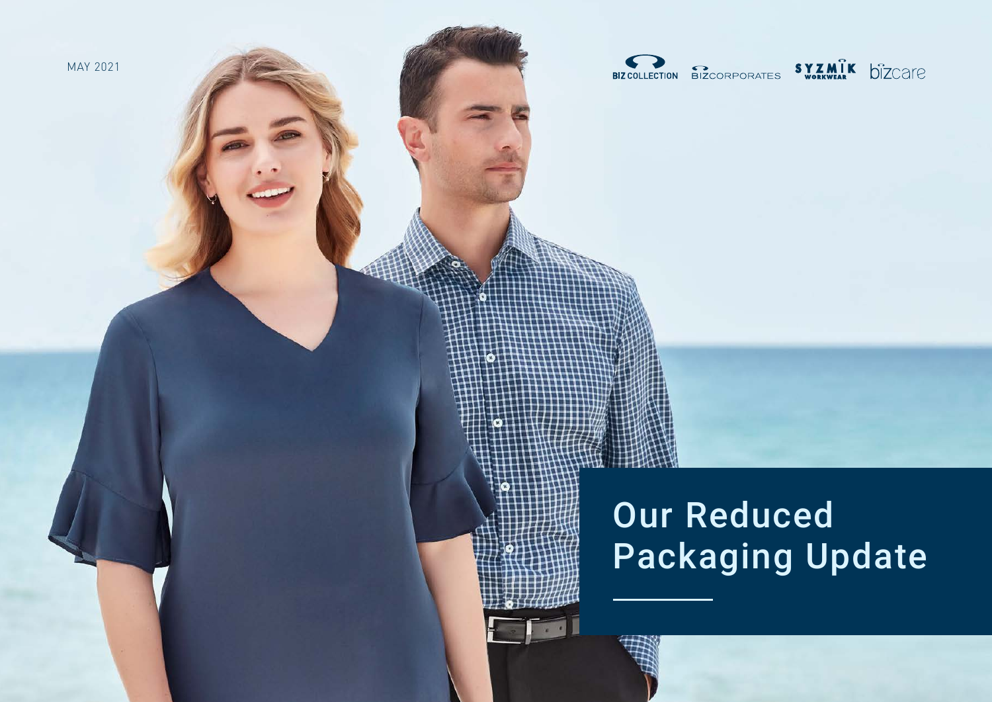

BIZCOLLECTION BIZCORPORATES SYZMIK DIZCATE

# Our Reduced Packaging Update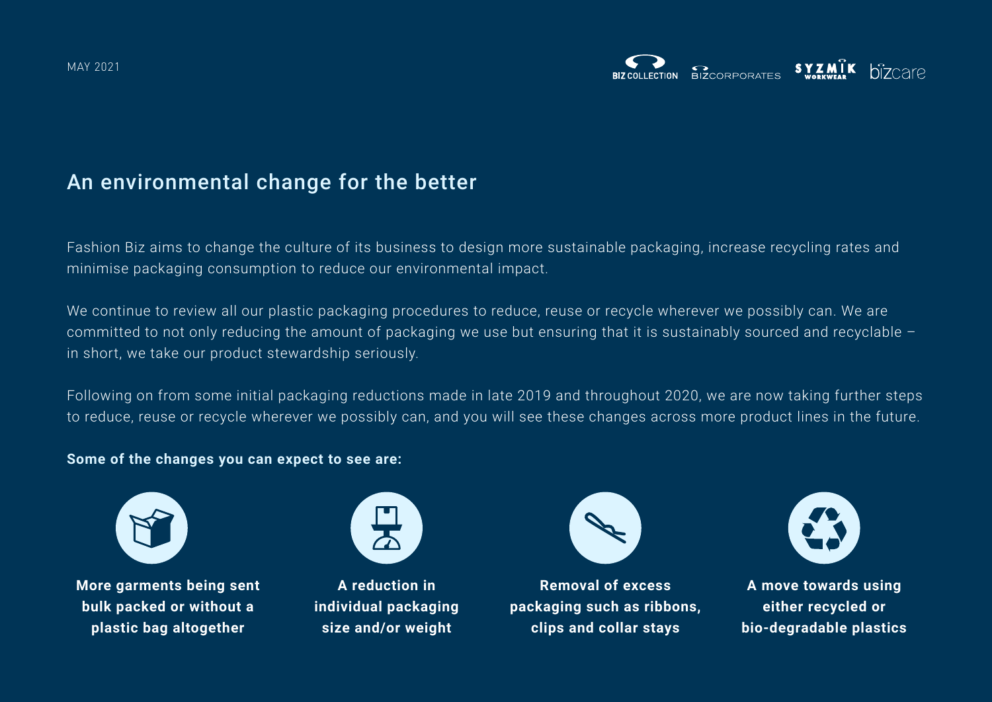## An environmental change for the better

Fashion Biz aims to change the culture of its business to design more sustainable packaging, increase recycling rates and minimise packaging consumption to reduce our environmental impact.

We continue to review all our plastic packaging procedures to reduce, reuse or recycle wherever we possibly can. We are committed to not only reducing the amount of packaging we use but ensuring that it is sustainably sourced and recyclable – in short, we take our product stewardship seriously.

Following on from some initial packaging reductions made in late 2019 and throughout 2020, we are now taking further steps to reduce, reuse or recycle wherever we possibly can, and you will see these changes across more product lines in the future.

## **Some of the changes you can expect to see are:**



**More garments being sent bulk packed or without a plastic bag altogether**



**A reduction in individual packaging size and/or weight**



**Removal of excess packaging such as ribbons, clips and collar stays**



**A move towards using either recycled or bio-degradable plastics**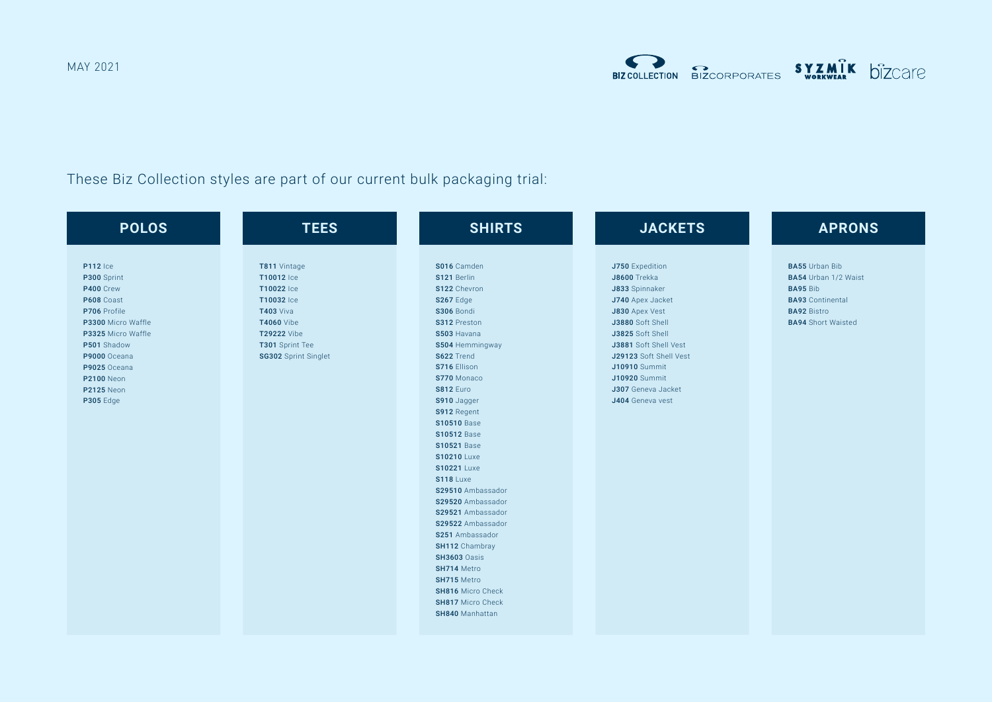MAY 2021

These Biz Collection styles are part of our current bulk packaging trial:

| <b>POLOS</b>                                                                                                                                                                                                                | <b>TEES</b>                                                                                                                                               | <b>SHIRTS</b>                                                                                                                                                                                                                                                                                                                                                                                                                                                                                                                                                                                              | <b>JACKETS</b>                                                                                                                                                                                                                                                                      | <b>APRONS</b>                                                                                                                                  |
|-----------------------------------------------------------------------------------------------------------------------------------------------------------------------------------------------------------------------------|-----------------------------------------------------------------------------------------------------------------------------------------------------------|------------------------------------------------------------------------------------------------------------------------------------------------------------------------------------------------------------------------------------------------------------------------------------------------------------------------------------------------------------------------------------------------------------------------------------------------------------------------------------------------------------------------------------------------------------------------------------------------------------|-------------------------------------------------------------------------------------------------------------------------------------------------------------------------------------------------------------------------------------------------------------------------------------|------------------------------------------------------------------------------------------------------------------------------------------------|
| <b>P112</b> Ice<br>P300 Sprint<br>P400 Crew<br>P608 Coast<br>P706 Profile<br>P3300 Micro Waffle<br>P3325 Micro Waffle<br>P501 Shadow<br>P9000 Oceana<br>P9025 Oceana<br><b>P2100</b> Neon<br><b>P2125 Neon</b><br>P305 Edge | T811 Vintage<br>T10012 Ice<br>T10022 Ice<br>T10032 Ice<br><b>T403 Viva</b><br><b>T4060</b> Vibe<br>T29222 Vibe<br>T301 Sprint Tee<br>SG302 Sprint Singlet | S016 Camden<br>S121 Berlin<br>S122 Chevron<br>S267 Edge<br>S306 Bondi<br>S312 Preston<br>S503 Havana<br>S504 Hemmingway<br>S622 Trend<br>S716 Ellison<br>S770 Monaco<br><b>S812 Euro</b><br>S910 Jagger<br>S912 Regent<br><b>S10510 Base</b><br><b>S10512 Base</b><br><b>S10521 Base</b><br><b>S10210</b> Luxe<br><b>S10221</b> Luxe<br><b>S118</b> Luxe<br>S29510 Ambassador<br>S29520 Ambassador<br>S29521 Ambassador<br>S29522 Ambassador<br>S251 Ambassador<br>SH112 Chambray<br><b>SH3603 Oasis</b><br>SH714 Metro<br>SH715 Metro<br>SH816 Micro Check<br><b>SH817 Micro Check</b><br>SH840 Manhattan | J750 Expedition<br><b>J8600</b> Trekka<br>J833 Spinnaker<br>J740 Apex Jacket<br>J830 Apex Vest<br>J3880 Soft Shell<br>J3825 Soft Shell<br>J3881 Soft Shell Vest<br>J29123 Soft Shell Vest<br><b>J10910</b> Summit<br><b>J10920</b> Summit<br>J307 Geneva Jacket<br>J404 Geneva vest | <b>BA55</b> Urban Bib<br>BA54 Urban 1/2 Waist<br><b>BA95 Bib</b><br><b>BA93</b> Continental<br><b>BA92 Bistro</b><br><b>BA94</b> Short Waisted |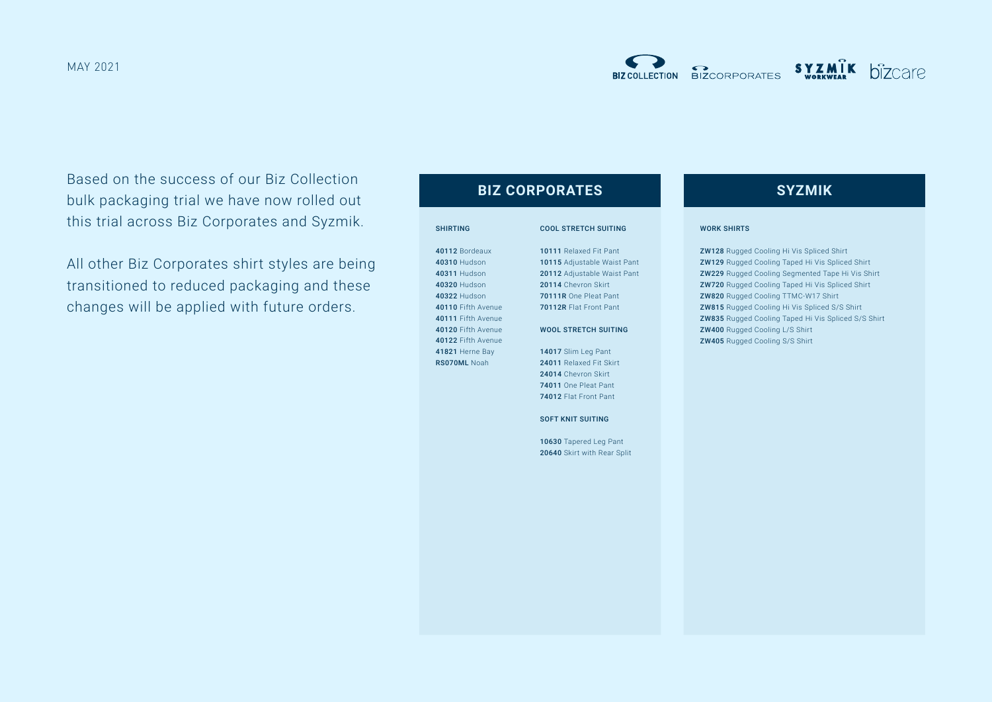Based on the success of our Biz Collection bulk packaging trial we have now rolled out this trial across Biz Corporates and Syzmik.

All other Biz Corporates shirt styles are being transitioned to reduced packaging and these changes will be applied with future orders.

## **BIZ CORPORATES SYZMIK**

### SHIRTING

40112 Bordeaux 40310 Hudson 40311 Hudson 40320 Hudson 40322 Hudson 40110 Fifth Avenue 40111 Fifth Avenue 40120 Fifth Avenue 40122 Fifth Avenue 41821 Herne Bay RS070ML Noah

## COOL STRETCH SUITING 10111 Relaxed Fit Pant 10115 Adjustable Waist Pant 20112 Adjustable Waist Pant 20114 Chevron Skirt 70111R One Pleat Pant 70112R Flat Front Pant WOOL STRETCH SUITING 14017 Slim Leg Pant 24011 Relaxed Fit Skirt

24014 Chevron Skirt 74011 One Pleat Pant 74012 Flat Front Pant

SOFT KNIT SUITING

10630 Tapered Leg Pant 20640 Skirt with Rear Split

#### WORK SHIRTS

ZW128 Rugged Cooling Hi Vis Spliced Shirt ZW129 Rugged Cooling Taped Hi Vis Spliced Shirt ZW229 Rugged Cooling Segmented Tape Hi Vis Shirt **ZW720** Rugged Cooling Taped Hi Vis Spliced Shirt ZW820 Rugged Cooling TTMC-W17 Shirt ZW815 Rugged Cooling Hi Vis Spliced S/S Shirt **ZW835** Rugged Cooling Taped Hi Vis Spliced S/S Shirt ZW400 Rugged Cooling L/S Shirt ZW405 Rugged Cooling S/S Shirt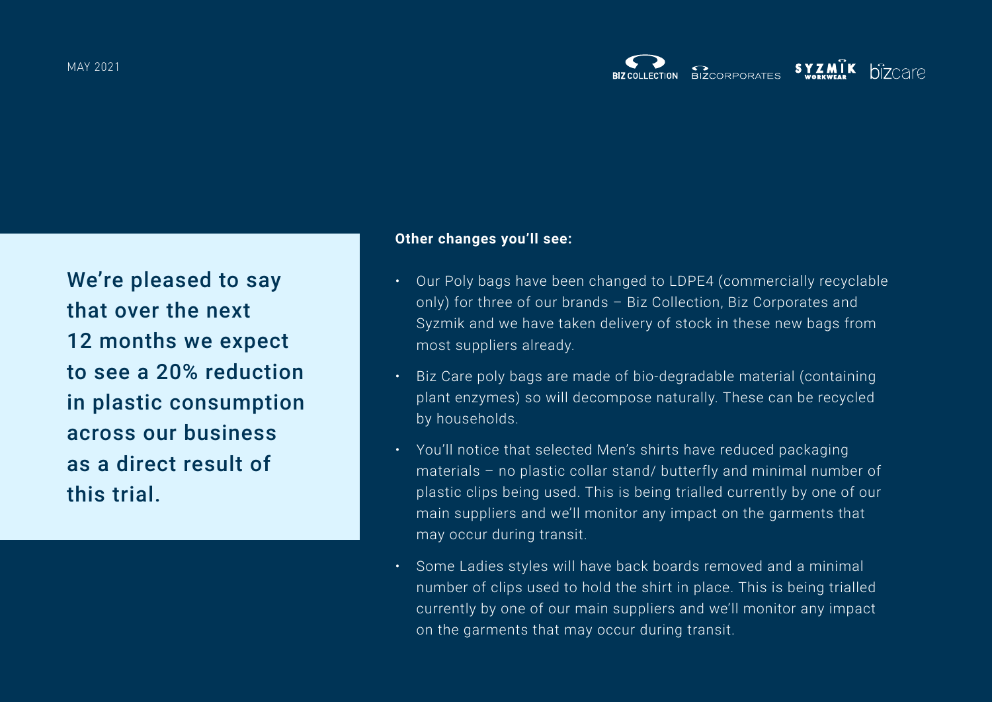We're pleased to say that over the next 12 months we expect to see a 20% reduction in plastic consumption across our business as a direct result of this trial.

## **Other changes you'll see:**

- Our Poly bags have been changed to LDPE4 (commercially recyclable only) for three of our brands – Biz Collection, Biz Corporates and Syzmik and we have taken delivery of stock in these new bags from most suppliers already.
- Biz Care poly bags are made of bio-degradable material (containing plant enzymes) so will decompose naturally. These can be recycled by households.
- You'll notice that selected Men's shirts have reduced packaging materials – no plastic collar stand/ butterfly and minimal number of plastic clips being used. This is being trialled currently by one of our main suppliers and we'll monitor any impact on the garments that may occur during transit.
- Some Ladies styles will have back boards removed and a minimal number of clips used to hold the shirt in place. This is being trialled currently by one of our main suppliers and we'll monitor any impact on the garments that may occur during transit.